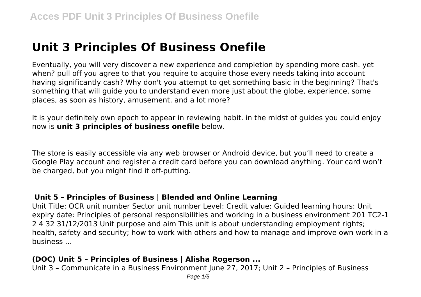# **Unit 3 Principles Of Business Onefile**

Eventually, you will very discover a new experience and completion by spending more cash. yet when? pull off you agree to that you require to acquire those every needs taking into account having significantly cash? Why don't you attempt to get something basic in the beginning? That's something that will guide you to understand even more just about the globe, experience, some places, as soon as history, amusement, and a lot more?

It is your definitely own epoch to appear in reviewing habit. in the midst of guides you could enjoy now is **unit 3 principles of business onefile** below.

The store is easily accessible via any web browser or Android device, but you'll need to create a Google Play account and register a credit card before you can download anything. Your card won't be charged, but you might find it off-putting.

#### **Unit 5 – Principles of Business | Blended and Online Learning**

Unit Title: OCR unit number Sector unit number Level: Credit value: Guided learning hours: Unit expiry date: Principles of personal responsibilities and working in a business environment 201 TC2-1 2 4 32 31/12/2013 Unit purpose and aim This unit is about understanding employment rights; health, safety and security; how to work with others and how to manage and improve own work in a business ...

## **(DOC) Unit 5 – Principles of Business | Alisha Rogerson ...**

Unit 3 – Communicate in a Business Environment June 27, 2017; Unit 2 – Principles of Business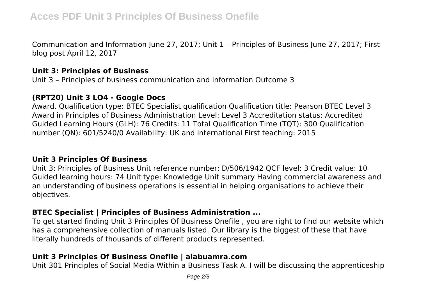Communication and Information June 27, 2017; Unit 1 – Principles of Business June 27, 2017; First blog post April 12, 2017

## **Unit 3: Principles of Business**

Unit 3 – Principles of business communication and information Outcome 3

#### **(RPT20) Unit 3 LO4 - Google Docs**

Award. Qualification type: BTEC Specialist qualification Qualification title: Pearson BTEC Level 3 Award in Principles of Business Administration Level: Level 3 Accreditation status: Accredited Guided Learning Hours (GLH): 76 Credits: 11 Total Qualification Time (TQT): 300 Qualification number (QN): 601/5240/0 Availability: UK and international First teaching: 2015

#### **Unit 3 Principles Of Business**

Unit 3: Principles of Business Unit reference number: D/506/1942 QCF level: 3 Credit value: 10 Guided learning hours: 74 Unit type: Knowledge Unit summary Having commercial awareness and an understanding of business operations is essential in helping organisations to achieve their objectives.

## **BTEC Specialist | Principles of Business Administration ...**

To get started finding Unit 3 Principles Of Business Onefile , you are right to find our website which has a comprehensive collection of manuals listed. Our library is the biggest of these that have literally hundreds of thousands of different products represented.

# **Unit 3 Principles Of Business Onefile | alabuamra.com**

Unit 301 Principles of Social Media Within a Business Task A. I will be discussing the apprenticeship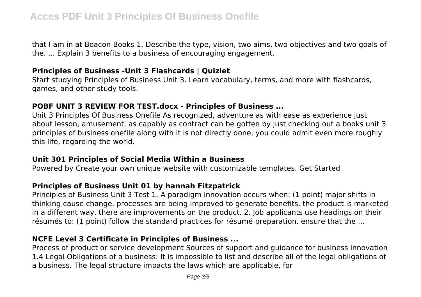that I am in at Beacon Books 1. Describe the type, vision, two aims, two objectives and two goals of the. ... Explain 3 benefits to a business of encouraging engagement.

# **Principles of Business -Unit 3 Flashcards | Quizlet**

Start studying Principles of Business Unit 3. Learn vocabulary, terms, and more with flashcards, games, and other study tools.

# **POBF UNIT 3 REVIEW FOR TEST.docx - Principles of Business ...**

Unit 3 Principles Of Business Onefile As recognized, adventure as with ease as experience just about lesson, amusement, as capably as contract can be gotten by just checking out a books unit 3 principles of business onefile along with it is not directly done, you could admit even more roughly this life, regarding the world.

## **Unit 301 Principles of Social Media Within a Business**

Powered by Create your own unique website with customizable templates. Get Started

# **Principles of Business Unit 01 by hannah Fitzpatrick**

Principles of Business Unit 3 Test 1. A paradigm innovation occurs when: (1 point) major shifts in thinking cause change. processes are being improved to generate benefits. the product is marketed in a different way. there are improvements on the product. 2. Job applicants use headings on their résumés to: (1 point) follow the standard practices for résumé preparation. ensure that the ...

# **NCFE Level 3 Certificate in Principles of Business ...**

Process of product or service development Sources of support and guidance for business innovation 1.4 Legal Obligations of a business: It is impossible to list and describe all of the legal obligations of a business. The legal structure impacts the laws which are applicable, for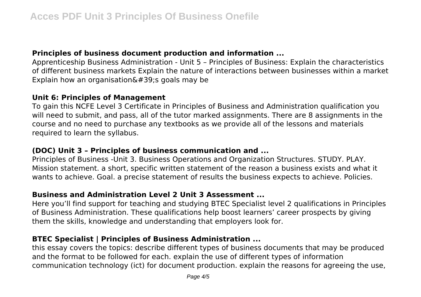# **Principles of business document production and information ...**

Apprenticeship Business Administration - Unit 5 – Principles of Business: Explain the characteristics of different business markets Explain the nature of interactions between businesses within a market Explain how an organisation $\&\#39$ ; goals may be

#### **Unit 6: Principles of Management**

To gain this NCFE Level 3 Certificate in Principles of Business and Administration qualification you will need to submit, and pass, all of the tutor marked assignments. There are 8 assignments in the course and no need to purchase any textbooks as we provide all of the lessons and materials required to learn the syllabus.

# **(DOC) Unit 3 – Principles of business communication and ...**

Principles of Business -Unit 3. Business Operations and Organization Structures. STUDY. PLAY. Mission statement. a short, specific written statement of the reason a business exists and what it wants to achieve. Goal. a precise statement of results the business expects to achieve. Policies.

# **Business and Administration Level 2 Unit 3 Assessment ...**

Here you'll find support for teaching and studying BTEC Specialist level 2 qualifications in Principles of Business Administration. These qualifications help boost learners' career prospects by giving them the skills, knowledge and understanding that employers look for.

# **BTEC Specialist | Principles of Business Administration ...**

this essay covers the topics: describe different types of business documents that may be produced and the format to be followed for each. explain the use of different types of information communication technology (ict) for document production. explain the reasons for agreeing the use,